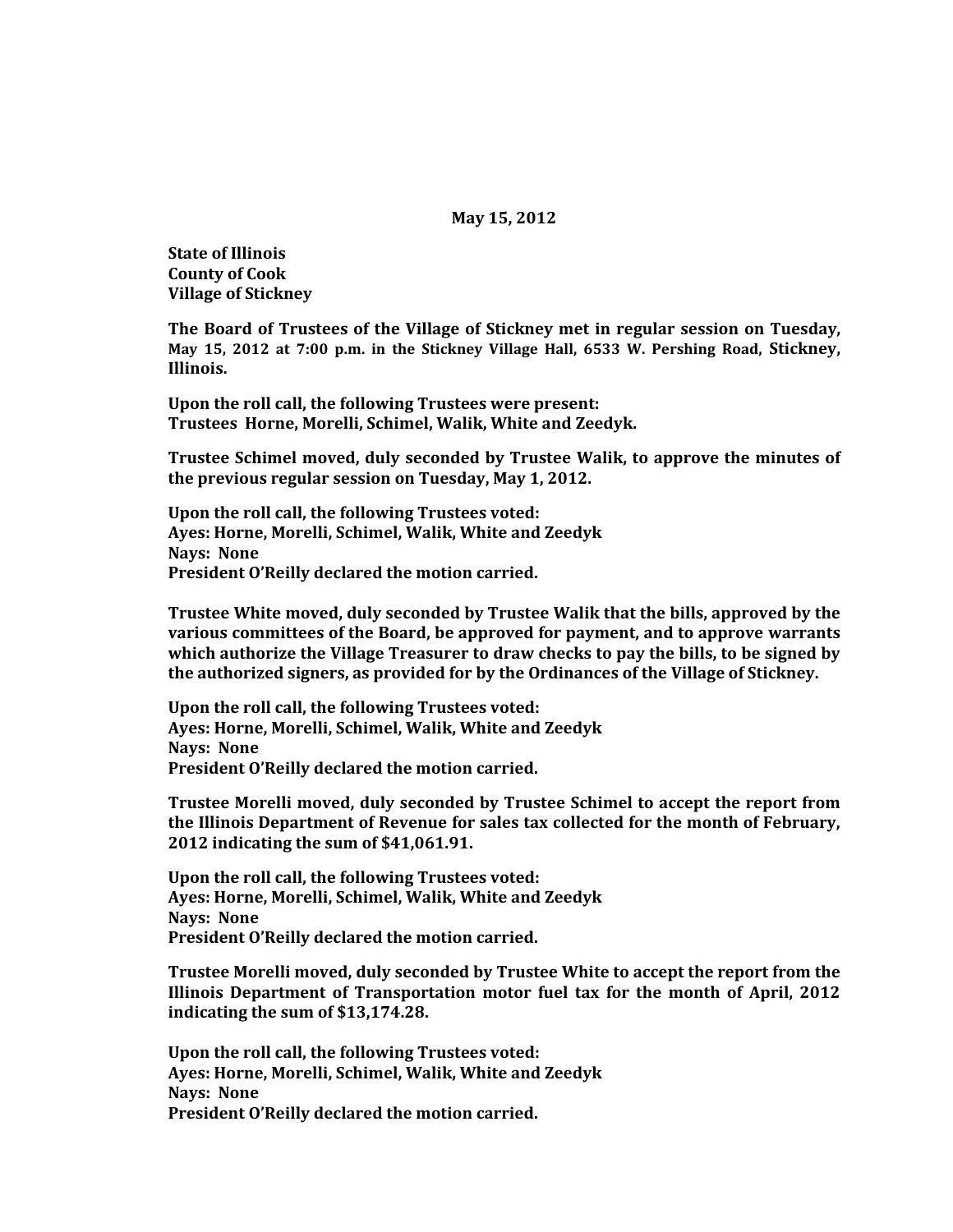## **May 15, 2012**

**State of Illinois County of Cook Village of Stickney**

**The Board of Trustees of the Village of Stickney met in regular session on Tuesday, May 15, 2012 at 7:00 p.m. in the Stickney Village Hall, 6533 W. Pershing Road, Stickney, Illinois.**

**Upon the roll call, the following Trustees were present: Trustees Horne, Morelli, Schimel, Walik, White and Zeedyk.** 

**Trustee Schimel moved, duly seconded by Trustee Walik, to approve the minutes of the previous regular session on Tuesday, May 1, 2012.**

**Upon the roll call, the following Trustees voted: Ayes: Horne, Morelli, Schimel, Walik, White and Zeedyk Nays: None President O'Reilly declared the motion carried.**

**Trustee White moved, duly seconded by Trustee Walik that the bills, approved by the various committees of the Board, be approved for payment, and to approve warrants which authorize the Village Treasurer to draw checks to pay the bills, to be signed by the authorized signers, as provided for by the Ordinances of the Village of Stickney.**

**Upon the roll call, the following Trustees voted: Ayes: Horne, Morelli, Schimel, Walik, White and Zeedyk Nays: None President O'Reilly declared the motion carried.**

**Trustee Morelli moved, duly seconded by Trustee Schimel to accept the report from the Illinois Department of Revenue for sales tax collected for the month of February, 2012 indicating the sum of \$41,061.91.**

**Upon the roll call, the following Trustees voted: Ayes: Horne, Morelli, Schimel, Walik, White and Zeedyk Nays: None President O'Reilly declared the motion carried.**

**Trustee Morelli moved, duly seconded by Trustee White to accept the report from the Illinois Department of Transportation motor fuel tax for the month of April, 2012 indicating the sum of \$13,174.28.**

**Upon the roll call, the following Trustees voted: Ayes: Horne, Morelli, Schimel, Walik, White and Zeedyk Nays: None President O'Reilly declared the motion carried.**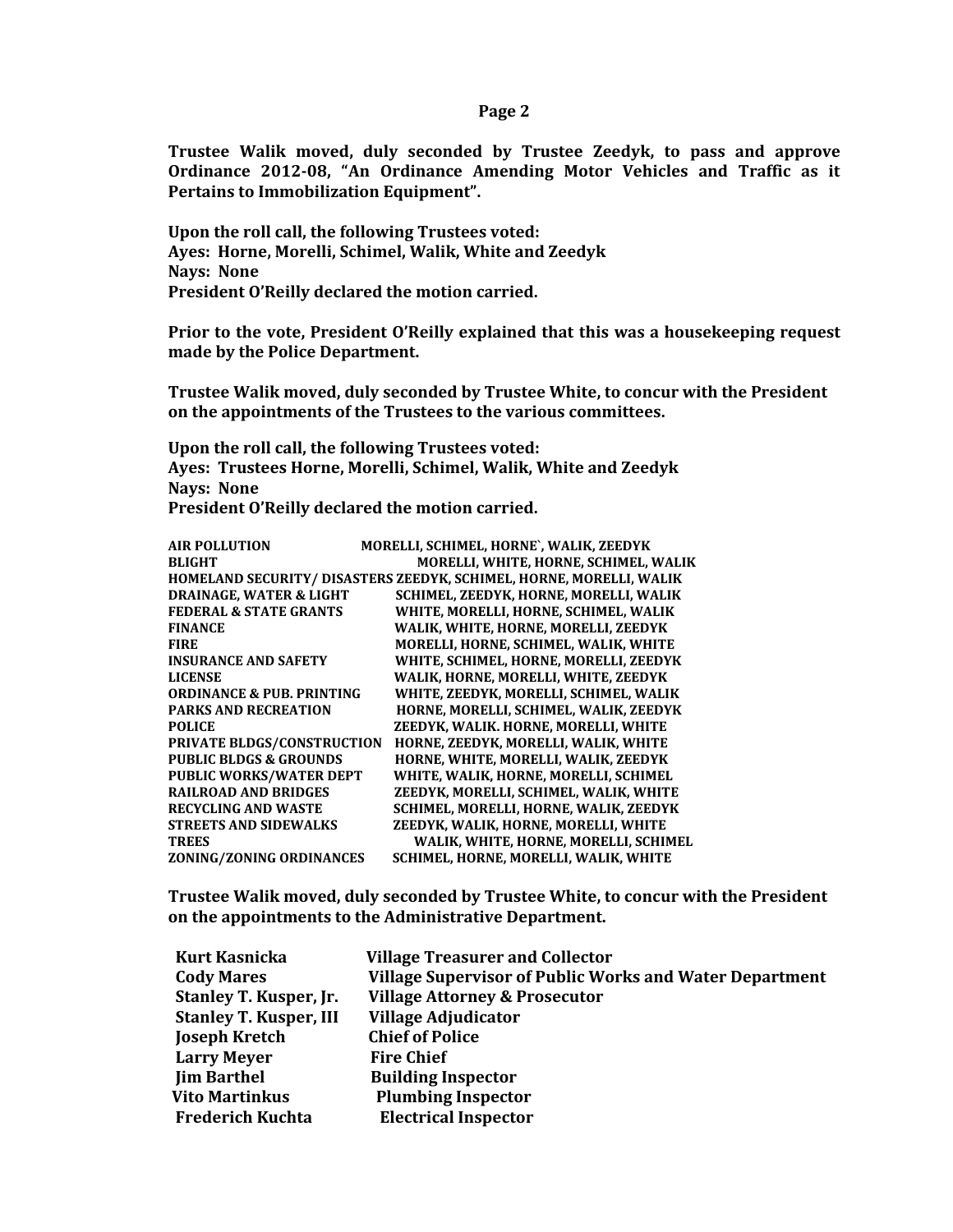**Trustee Walik moved, duly seconded by Trustee Zeedyk, to pass and approve Ordinance 2012-08, "An Ordinance Amending Motor Vehicles and Traffic as it Pertains to Immobilization Equipment".**

**Upon the roll call, the following Trustees voted: Ayes: Horne, Morelli, Schimel, Walik, White and Zeedyk Nays: None President O'Reilly declared the motion carried.**

**Prior to the vote, President O'Reilly explained that this was a housekeeping request made by the Police Department.**

**Trustee Walik moved, duly seconded by Trustee White, to concur with the President on the appointments of the Trustees to the various committees.**

**Upon the roll call, the following Trustees voted: Ayes: Trustees Horne, Morelli, Schimel, Walik, White and Zeedyk Nays: None President O'Reilly declared the motion carried.** 

| <b>AIR POLLUTION</b>                 | MORELLI, SCHIMEL, HORNE`, WALIK, ZEEDYK                             |
|--------------------------------------|---------------------------------------------------------------------|
| <b>BLIGHT</b>                        | MORELLI, WHITE, HORNE, SCHIMEL, WALIK                               |
|                                      | HOMELAND SECURITY/ DISASTERS ZEEDYK, SCHIMEL, HORNE, MORELLI, WALIK |
| <b>DRAINAGE. WATER &amp; LIGHT</b>   | SCHIMEL. ZEEDYK. HORNE. MORELLI. WALIK                              |
| <b>FEDERAL &amp; STATE GRANTS</b>    | WHITE, MORELLI, HORNE, SCHIMEL, WALIK                               |
| <b>FINANCE</b>                       | WALIK, WHITE, HORNE, MORELLI, ZEEDYK                                |
| <b>FIRE</b>                          | MORELLI, HORNE, SCHIMEL, WALIK, WHITE                               |
| <b>INSURANCE AND SAFETY</b>          | WHITE, SCHIMEL, HORNE, MORELLI, ZEEDYK                              |
| <b>LICENSE</b>                       | WALIK, HORNE, MORELLI, WHITE, ZEEDYK                                |
| <b>ORDINANCE &amp; PUB. PRINTING</b> | WHITE, ZEEDYK, MORELLI, SCHIMEL, WALIK                              |
| <b>PARKS AND RECREATION</b>          | HORNE, MORELLI, SCHIMEL, WALIK, ZEEDYK                              |
| <b>POLICE</b>                        | ZEEDYK, WALIK. HORNE, MORELLI, WHITE                                |
| PRIVATE BLDGS/CONSTRUCTION           | HORNE, ZEEDYK, MORELLI, WALIK, WHITE                                |
| <b>PUBLIC BLDGS &amp; GROUNDS</b>    | HORNE, WHITE, MORELLI, WALIK, ZEEDYK                                |
| <b>PUBLIC WORKS/WATER DEPT</b>       | WHITE, WALIK, HORNE, MORELLI, SCHIMEL                               |
| <b>RAILROAD AND BRIDGES</b>          | ZEEDYK, MORELLI, SCHIMEL, WALIK, WHITE                              |
| <b>RECYCLING AND WASTE</b>           | SCHIMEL, MORELLI, HORNE, WALIK, ZEEDYK                              |
| <b>STREETS AND SIDEWALKS</b>         | ZEEDYK. WALIK. HORNE. MORELLI. WHITE                                |
| <b>TREES</b>                         | WALIK, WHITE, HORNE, MORELLI, SCHIMEL                               |
| ZONING/ZONING ORDINANCES             | SCHIMEL, HORNE, MORELLI, WALIK, WHITE                               |

**Trustee Walik moved, duly seconded by Trustee White, to concur with the President on the appointments to the Administrative Department.**

| <b>Kurt Kasnicka</b>          | <b>Village Treasurer and Collector</b>                         |
|-------------------------------|----------------------------------------------------------------|
| <b>Cody Mares</b>             | <b>Village Supervisor of Public Works and Water Department</b> |
| <b>Stanley T. Kusper, Jr.</b> | <b>Village Attorney &amp; Prosecutor</b>                       |
| <b>Stanley T. Kusper, III</b> | <b>Village Adjudicator</b>                                     |
| <b>Joseph Kretch</b>          | <b>Chief of Police</b>                                         |
| <b>Larry Meyer</b>            | <b>Fire Chief</b>                                              |
| <b>Jim Barthel</b>            | <b>Building Inspector</b>                                      |
| <b>Vito Martinkus</b>         | <b>Plumbing Inspector</b>                                      |
| <b>Frederich Kuchta</b>       | <b>Electrical Inspector</b>                                    |
|                               |                                                                |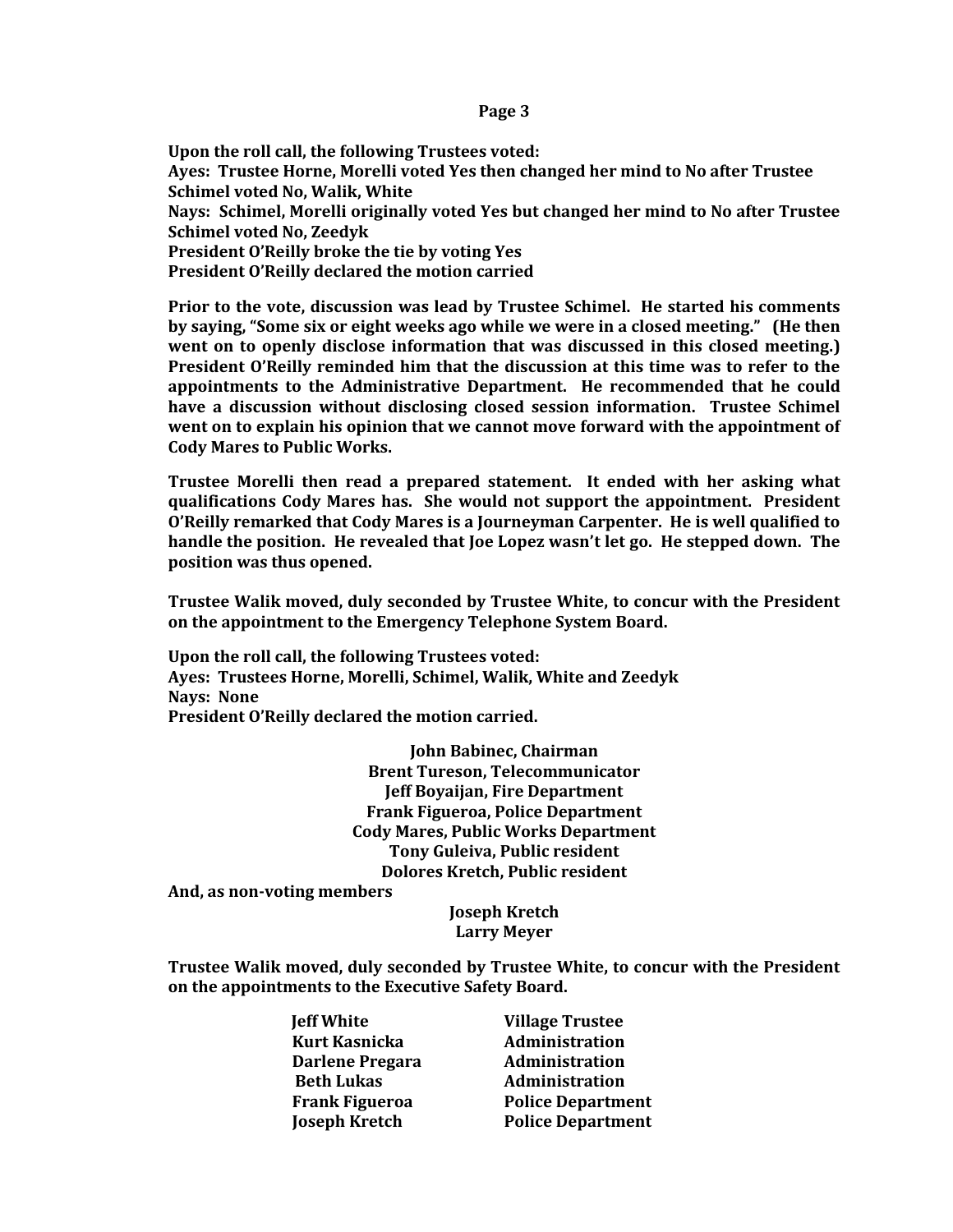**Upon the roll call, the following Trustees voted: Ayes: Trustee Horne, Morelli voted Yes then changed her mind to No after Trustee Schimel voted No, Walik, White Nays: Schimel, Morelli originally voted Yes but changed her mind to No after Trustee Schimel voted No, Zeedyk President O'Reilly broke the tie by voting Yes President O'Reilly declared the motion carried**

**Prior to the vote, discussion was lead by Trustee Schimel. He started his comments by saying, "Some six or eight weeks ago while we were in a closed meeting." (He then went on to openly disclose information that was discussed in this closed meeting.) President O'Reilly reminded him that the discussion at this time was to refer to the appointments to the Administrative Department. He recommended that he could have a discussion without disclosing closed session information. Trustee Schimel went on to explain his opinion that we cannot move forward with the appointment of Cody Mares to Public Works.** 

**Trustee Morelli then read a prepared statement. It ended with her asking what qualifications Cody Mares has. She would not support the appointment. President O'Reilly remarked that Cody Mares is a Journeyman Carpenter. He is well qualified to handle the position. He revealed that Joe Lopez wasn't let go. He stepped down. The position was thus opened.** 

**Trustee Walik moved, duly seconded by Trustee White, to concur with the President on the appointment to the Emergency Telephone System Board.**

**Upon the roll call, the following Trustees voted: Ayes: Trustees Horne, Morelli, Schimel, Walik, White and Zeedyk Nays: None President O'Reilly declared the motion carried.** 

> **John Babinec, Chairman Brent Tureson, Telecommunicator Jeff Boyaijan, Fire Department Frank Figueroa, Police Department Cody Mares, Public Works Department Tony Guleiva, Public resident Dolores Kretch, Public resident**

**And, as non-voting members**

**Joseph Kretch Larry Meyer**

**Trustee Walik moved, duly seconded by Trustee White, to concur with the President on the appointments to the Executive Safety Board.**

> **Jeff White Village Trustee Kurt Kasnicka Administration Darlene Pregara Administration Beth Lukas Administration**

 **Frank Figueroa Police Department Joseph Kretch Police Department**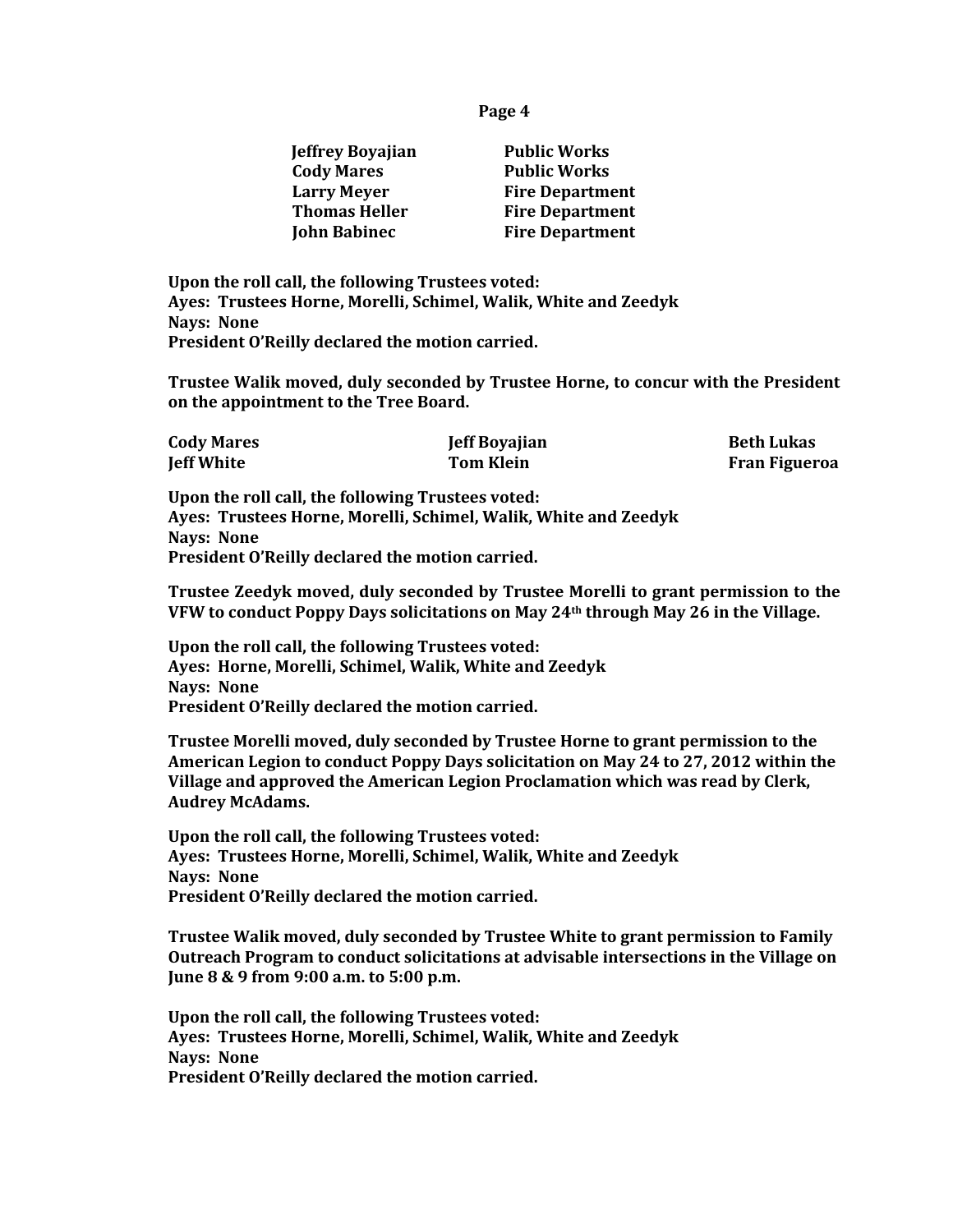| <b>Jeffrey Boyajian</b> | <b>Public Works</b>    |
|-------------------------|------------------------|
| <b>Cody Mares</b>       | <b>Public Works</b>    |
| <b>Larry Meyer</b>      | <b>Fire Department</b> |
| <b>Thomas Heller</b>    | <b>Fire Department</b> |
| <b>John Babinec</b>     | <b>Fire Department</b> |

**Upon the roll call, the following Trustees voted: Ayes: Trustees Horne, Morelli, Schimel, Walik, White and Zeedyk Nays: None President O'Reilly declared the motion carried.** 

**Trustee Walik moved, duly seconded by Trustee Horne, to concur with the President on the appointment to the Tree Board.**

| <b>Cody Mares</b> | <b>Jeff Boyajian</b> | <b>Beth Lukas</b>    |
|-------------------|----------------------|----------------------|
| <b>Jeff White</b> | Tom Klein            | <b>Fran Figueroa</b> |

**Upon the roll call, the following Trustees voted: Ayes: Trustees Horne, Morelli, Schimel, Walik, White and Zeedyk Nays: None President O'Reilly declared the motion carried.** 

**Trustee Zeedyk moved, duly seconded by Trustee Morelli to grant permission to the VFW to conduct Poppy Days solicitations on May 24th through May 26 in the Village.**

**Upon the roll call, the following Trustees voted: Ayes: Horne, Morelli, Schimel, Walik, White and Zeedyk Nays: None President O'Reilly declared the motion carried.**

**Trustee Morelli moved, duly seconded by Trustee Horne to grant permission to the American Legion to conduct Poppy Days solicitation on May 24 to 27, 2012 within the Village and approved the American Legion Proclamation which was read by Clerk, Audrey McAdams.**

**Upon the roll call, the following Trustees voted: Ayes: Trustees Horne, Morelli, Schimel, Walik, White and Zeedyk Nays: None President O'Reilly declared the motion carried.** 

**Trustee Walik moved, duly seconded by Trustee White to grant permission to Family Outreach Program to conduct solicitations at advisable intersections in the Village on June 8 & 9 from 9:00 a.m. to 5:00 p.m.**

**Upon the roll call, the following Trustees voted: Ayes: Trustees Horne, Morelli, Schimel, Walik, White and Zeedyk Nays: None President O'Reilly declared the motion carried.**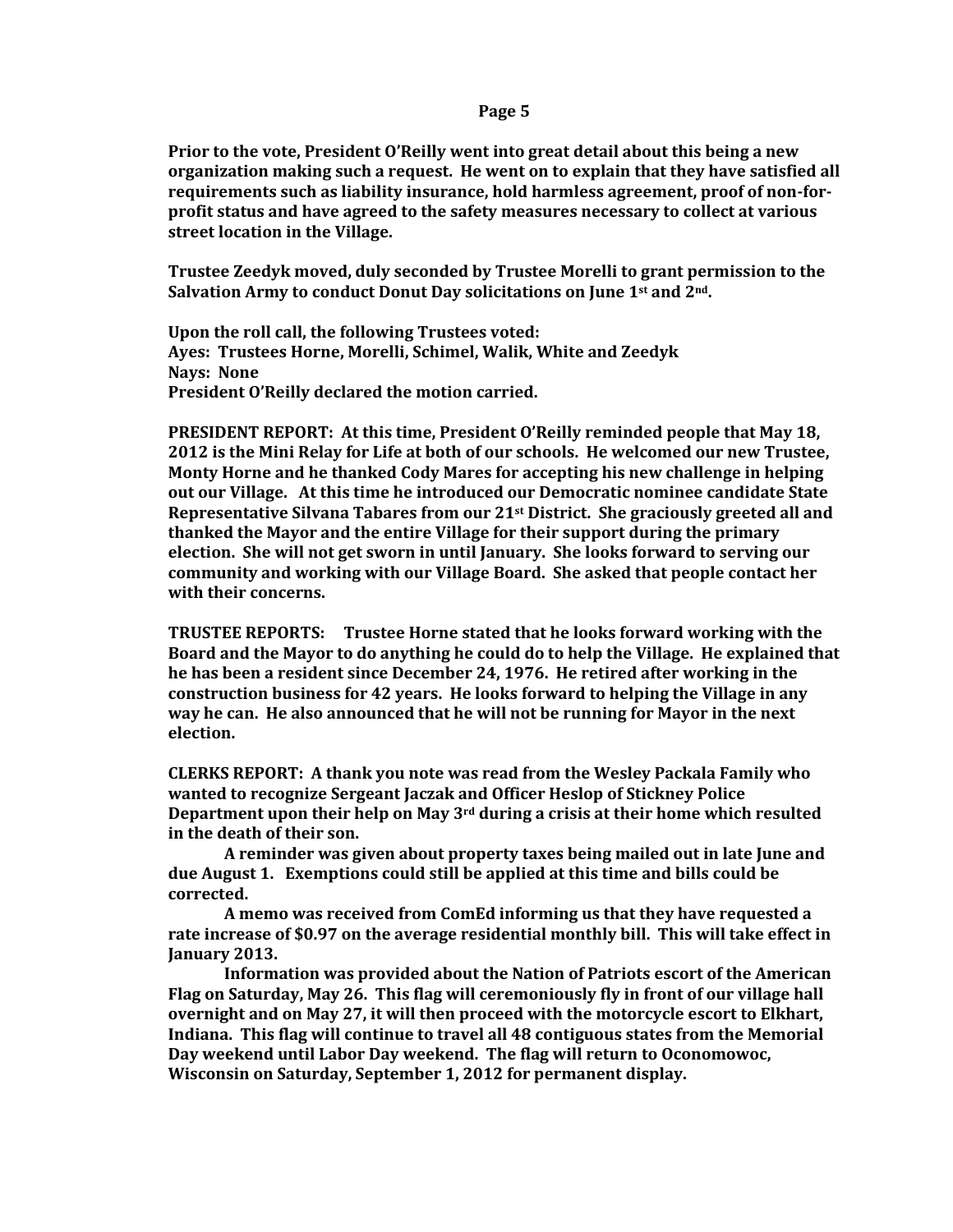**Prior to the vote, President O'Reilly went into great detail about this being a new organization making such a request. He went on to explain that they have satisfied all requirements such as liability insurance, hold harmless agreement, proof of non-forprofit status and have agreed to the safety measures necessary to collect at various street location in the Village.** 

**Trustee Zeedyk moved, duly seconded by Trustee Morelli to grant permission to the Salvation Army to conduct Donut Day solicitations on June 1st and 2nd.**

**Upon the roll call, the following Trustees voted: Ayes: Trustees Horne, Morelli, Schimel, Walik, White and Zeedyk Nays: None President O'Reilly declared the motion carried.** 

**PRESIDENT REPORT: At this time, President O'Reilly reminded people that May 18, 2012 is the Mini Relay for Life at both of our schools. He welcomed our new Trustee, Monty Horne and he thanked Cody Mares for accepting his new challenge in helping out our Village. At this time he introduced our Democratic nominee candidate State Representative Silvana Tabares from our 21st District. She graciously greeted all and thanked the Mayor and the entire Village for their support during the primary election. She will not get sworn in until January. She looks forward to serving our community and working with our Village Board. She asked that people contact her with their concerns.**

**TRUSTEE REPORTS: Trustee Horne stated that he looks forward working with the Board and the Mayor to do anything he could do to help the Village. He explained that he has been a resident since December 24, 1976. He retired after working in the construction business for 42 years. He looks forward to helping the Village in any way he can. He also announced that he will not be running for Mayor in the next election.**

**CLERKS REPORT: A thank you note was read from the Wesley Packala Family who wanted to recognize Sergeant Jaczak and Officer Heslop of Stickney Police Department upon their help on May 3rd during a crisis at their home which resulted in the death of their son.**

**A reminder was given about property taxes being mailed out in late June and due August 1. Exemptions could still be applied at this time and bills could be corrected.**

**A memo was received from ComEd informing us that they have requested a rate increase of \$0.97 on the average residential monthly bill. This will take effect in January 2013.**

**Information was provided about the Nation of Patriots escort of the American Flag on Saturday, May 26. This flag will ceremoniously fly in front of our village hall overnight and on May 27, it will then proceed with the motorcycle escort to Elkhart, Indiana. This flag will continue to travel all 48 contiguous states from the Memorial Day weekend until Labor Day weekend. The flag will return to Oconomowoc, Wisconsin on Saturday, September 1, 2012 for permanent display.**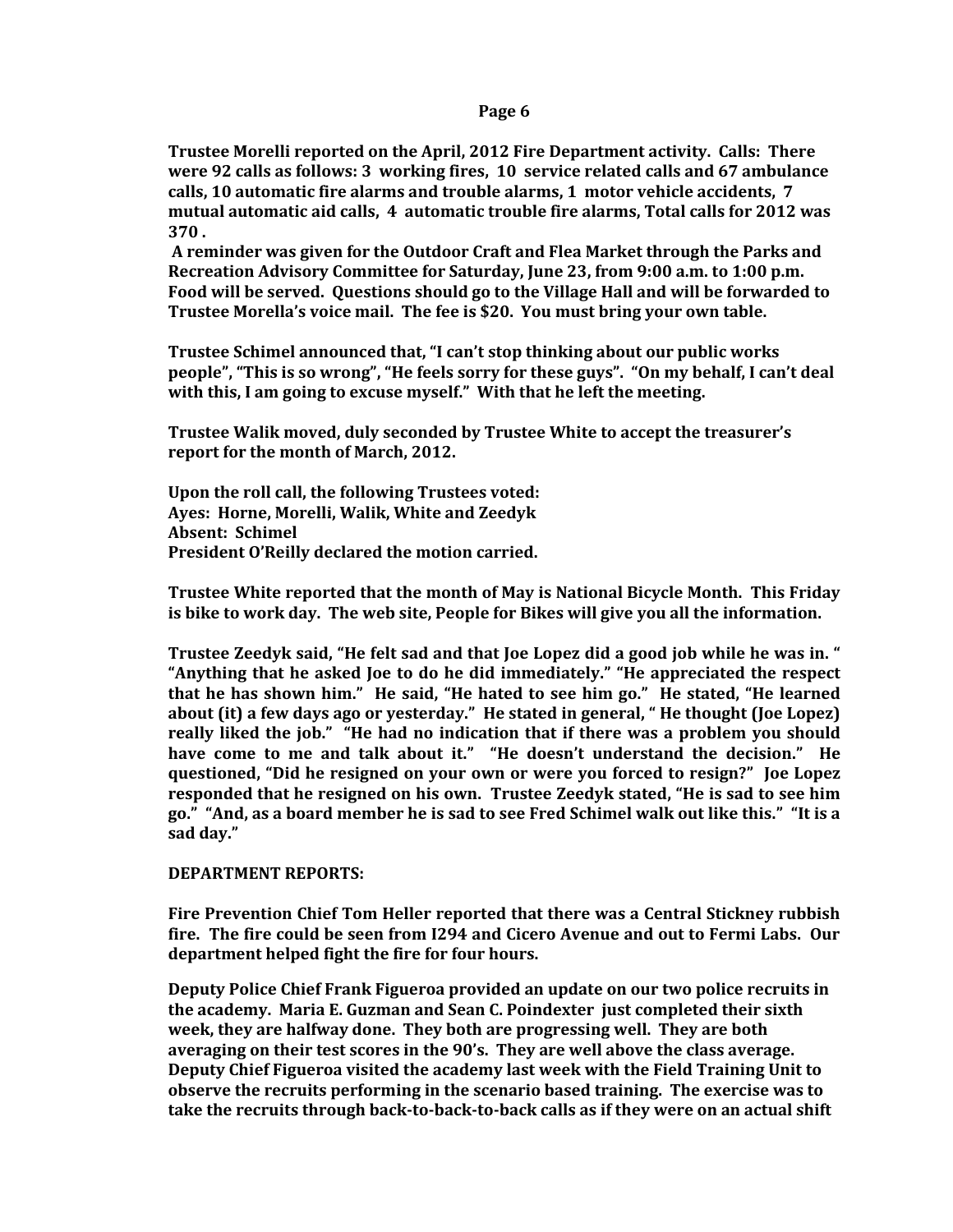**Trustee Morelli reported on the April, 2012 Fire Department activity. Calls: There were 92 calls as follows: 3 working fires, 10 service related calls and 67 ambulance calls, 10 automatic fire alarms and trouble alarms, 1 motor vehicle accidents, 7 mutual automatic aid calls, 4 automatic trouble fire alarms, Total calls for 2012 was 370 .** 

**A reminder was given for the Outdoor Craft and Flea Market through the Parks and Recreation Advisory Committee for Saturday, June 23, from 9:00 a.m. to 1:00 p.m. Food will be served. Questions should go to the Village Hall and will be forwarded to Trustee Morella's voice mail. The fee is \$20. You must bring your own table.**

**Trustee Schimel announced that, "I can't stop thinking about our public works people", "This is so wrong", "He feels sorry for these guys". "On my behalf, I can't deal with this, I am going to excuse myself." With that he left the meeting.** 

**Trustee Walik moved, duly seconded by Trustee White to accept the treasurer's report for the month of March, 2012.**

**Upon the roll call, the following Trustees voted: Ayes: Horne, Morelli, Walik, White and Zeedyk Absent: Schimel President O'Reilly declared the motion carried.**

**Trustee White reported that the month of May is National Bicycle Month. This Friday is bike to work day. The web site, People for Bikes will give you all the information.** 

**Trustee Zeedyk said, "He felt sad and that Joe Lopez did a good job while he was in. " "Anything that he asked Joe to do he did immediately." "He appreciated the respect that he has shown him." He said, "He hated to see him go." He stated, "He learned about (it) a few days ago or yesterday." He stated in general, " He thought (Joe Lopez) really liked the job." "He had no indication that if there was a problem you should have come to me and talk about it." "He doesn't understand the decision." He questioned, "Did he resigned on your own or were you forced to resign?" Joe Lopez responded that he resigned on his own. Trustee Zeedyk stated, "He is sad to see him go." "And, as a board member he is sad to see Fred Schimel walk out like this." "It is a sad day."**

### **DEPARTMENT REPORTS:**

**Fire Prevention Chief Tom Heller reported that there was a Central Stickney rubbish fire. The fire could be seen from I294 and Cicero Avenue and out to Fermi Labs. Our department helped fight the fire for four hours.** 

**Deputy Police Chief Frank Figueroa provided an update on our two police recruits in the academy. Maria E. Guzman and Sean C. Poindexter just completed their sixth week, they are halfway done. They both are progressing well. They are both averaging on their test scores in the 90's. They are well above the class average. Deputy Chief Figueroa visited the academy last week with the Field Training Unit to observe the recruits performing in the scenario based training. The exercise was to take the recruits through back-to-back-to-back calls as if they were on an actual shift**